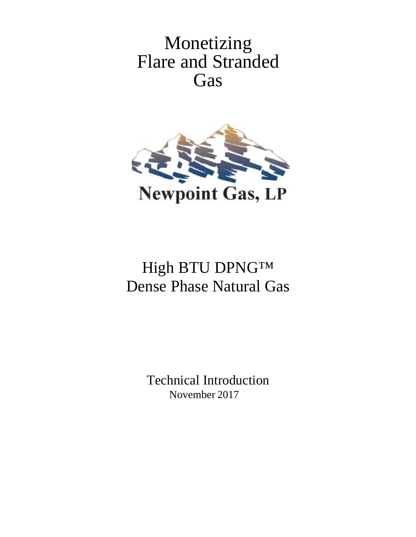Monetizing Flare and Stranded Gas



# High BTU DPNG™ Dense Phase Natural Gas

Technical Introduction November 2017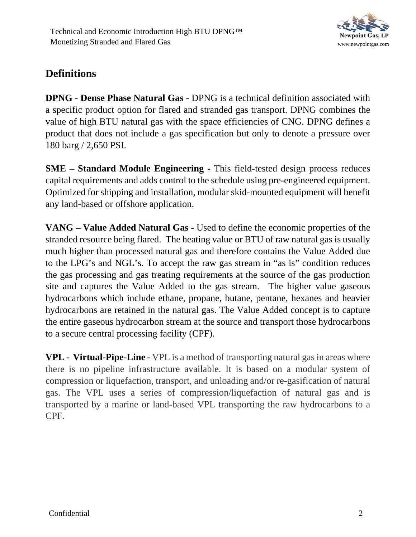

# **Definitions**

**DPNG - Dense Phase Natural Gas -** DPNG is a technical definition associated with a specific product option for flared and stranded gas transport. DPNG combines the value of high BTU natural gas with the space efficiencies of CNG. DPNG defines a product that does not include a gas specification but only to denote a pressure over 180 barg / 2,650 PSI.

**SME – Standard Module Engineering -** This field-tested design process reduces capital requirements and adds control to the schedule using pre-engineered equipment. Optimized for shipping and installation, modular skid-mounted equipment will benefit any land-based or offshore application.

**VANG – Value Added Natural Gas -** Used to define the economic properties of the stranded resource being flared. The heating value or BTU of raw natural gas is usually much higher than processed natural gas and therefore contains the Value Added due to the LPG's and NGL's. To accept the raw gas stream in "as is" condition reduces the gas processing and gas treating requirements at the source of the gas production site and captures the Value Added to the gas stream. The higher value gaseous hydrocarbons which include ethane, propane, butane, pentane, hexanes and heavier hydrocarbons are retained in the natural gas. The Value Added concept is to capture the entire gaseous hydrocarbon stream at the source and transport those hydrocarbons to a secure central processing facility (CPF).

**VPL - Virtual-Pipe-Line -** VPL is a method of transporting natural gas in areas where there is no pipeline infrastructure available. It is based on a modular system of compression or liquefaction, transport, and unloading and/or re-gasification of natural gas. The VPL uses a series of compression/liquefaction of natural gas and is transported by a marine or land-based VPL transporting the raw hydrocarbons to a CPF.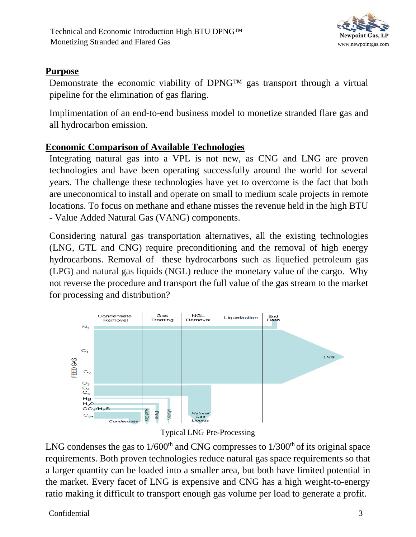

## **Purpose**

Demonstrate the economic viability of DPNG™ gas transport through a virtual pipeline for the elimination of gas flaring.

Implimentation of an end-to-end business model to monetize stranded flare gas and all hydrocarbon emission.

# **Economic Comparison of Available Technologies**

Integrating natural gas into a VPL is not new, as CNG and LNG are proven technologies and have been operating successfully around the world for several years. The challenge these technologies have yet to overcome is the fact that both are uneconomical to install and operate on small to medium scale projects in remote locations. To focus on methane and ethane misses the revenue held in the high BTU - Value Added Natural Gas (VANG) components.

Considering natural gas transportation alternatives, all the existing technologies (LNG, GTL and CNG) require preconditioning and the removal of high energy hydrocarbons. Removal of these hydrocarbons such as liquefied petroleum gas (LPG) and natural gas liquids (NGL) reduce the monetary value of the cargo. Why not reverse the procedure and transport the full value of the gas stream to the market for processing and distribution?



Typical LNG Pre-Processing

LNG condenses the gas to  $1/600<sup>th</sup>$  and CNG compresses to  $1/300<sup>th</sup>$  of its original space requirements. Both proven technologies reduce natural gas space requirements so that a larger quantity can be loaded into a smaller area, but both have limited potential in the market. Every facet of LNG is expensive and CNG has a high weight-to-energy ratio making it difficult to transport enough gas volume per load to generate a profit.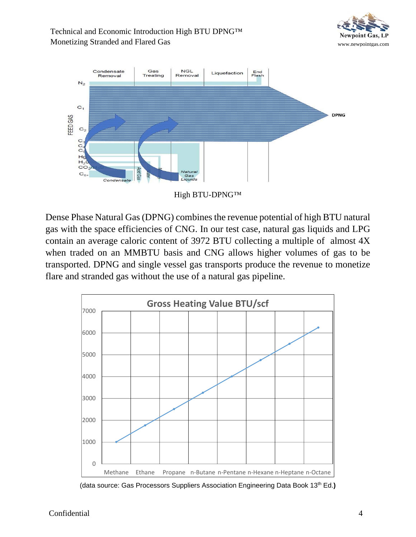#### Technical and Economic Introduction High BTU DPNG™ Monetizing Stranded and Flared Gas www.newpointgas.com





High BTU-DPNG™

Dense Phase Natural Gas (DPNG) combines the revenue potential of high BTU natural gas with the space efficiencies of CNG. In our test case, natural gas liquids and LPG contain an average caloric content of 3972 BTU collecting a multiple of almost 4X when traded on an MMBTU basis and CNG allows higher volumes of gas to be transported. DPNG and single vessel gas transports produce the revenue to monetize flare and stranded gas without the use of a natural gas pipeline.



(data source: Gas Processors Suppliers Association Engineering Data Book 13<sup>th</sup> Ed.)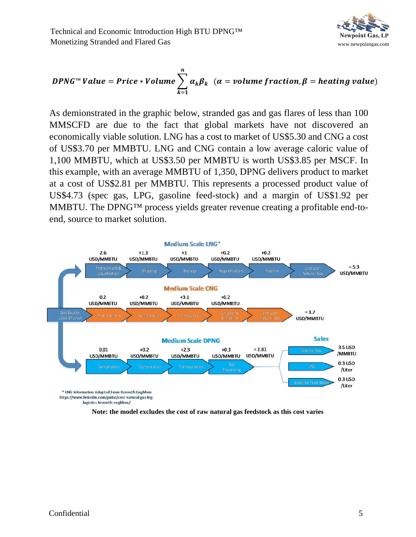

$$
DPNG^{\mathsf{TM}} Value = Price * Volume \sum_{k=1}^{n} \alpha_k \beta_k \quad (\alpha = volume fraction, \beta = heating value)
$$

As demionstrated in the graphic below, stranded gas and gas flares of less than 100 MMSCFD are due to the fact that global markets have not discovered an economically viable solution. LNG has a cost to market of US\$5.30 and CNG a cost of US\$3.70 per MMBTU. LNG and CNG contain a low average caloric value of 1,100 MMBTU, which at US\$3.50 per MMBTU is worth US\$3.85 per MSCF. In this example, with an average MMBTU of 1,350, DPNG delivers product to market at a cost of US\$2.81 per MMBTU. This represents a processed product value of US\$4.73 (spec gas, LPG, gasoline feed-stock) and a margin of US\$1.92 per MMBTU. The DPNG™ process yields greater revenue creating a profitable end-toend, source to market solution.



**Note: the model excludes the cost of raw natural gas feedstock as this cost varies**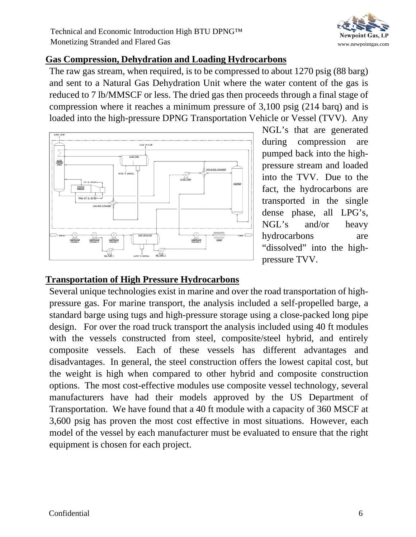

#### **Gas Compression, Dehydration and Loading Hydrocarbons**

The raw gas stream, when required, is to be compressed to about 1270 psig (88 barg) and sent to a Natural Gas Dehydration Unit where the water content of the gas is reduced to 7 lb/MMSCF or less. The dried gas then proceeds through a final stage of compression where it reaches a minimum pressure of 3,100 psig (214 barq) and is loaded into the high-pressure DPNG Transportation Vehicle or Vessel (TVV). Any



NGL's that are generated during compression are pumped back into the highpressure stream and loaded into the TVV. Due to the fact, the hydrocarbons are transported in the single dense phase, all LPG's, NGL's and/or heavy hydrocarbons are "dissolved" into the highpressure TVV.

# **Transportation of High Pressure Hydrocarbons**

Several unique technologies exist in marine and over the road transportation of highpressure gas. For marine transport, the analysis included a self-propelled barge, a standard barge using tugs and high-pressure storage using a close-packed long pipe design. For over the road truck transport the analysis included using 40 ft modules with the vessels constructed from steel, composite/steel hybrid, and entirely composite vessels. Each of these vessels has different advantages and disadvantages. In general, the steel construction offers the lowest capital cost, but the weight is high when compared to other hybrid and composite construction options. The most cost-effective modules use composite vessel technology, several manufacturers have had their models approved by the US Department of Transportation. We have found that a 40 ft module with a capacity of 360 MSCF at 3,600 psig has proven the most cost effective in most situations. However, each model of the vessel by each manufacturer must be evaluated to ensure that the right equipment is chosen for each project.